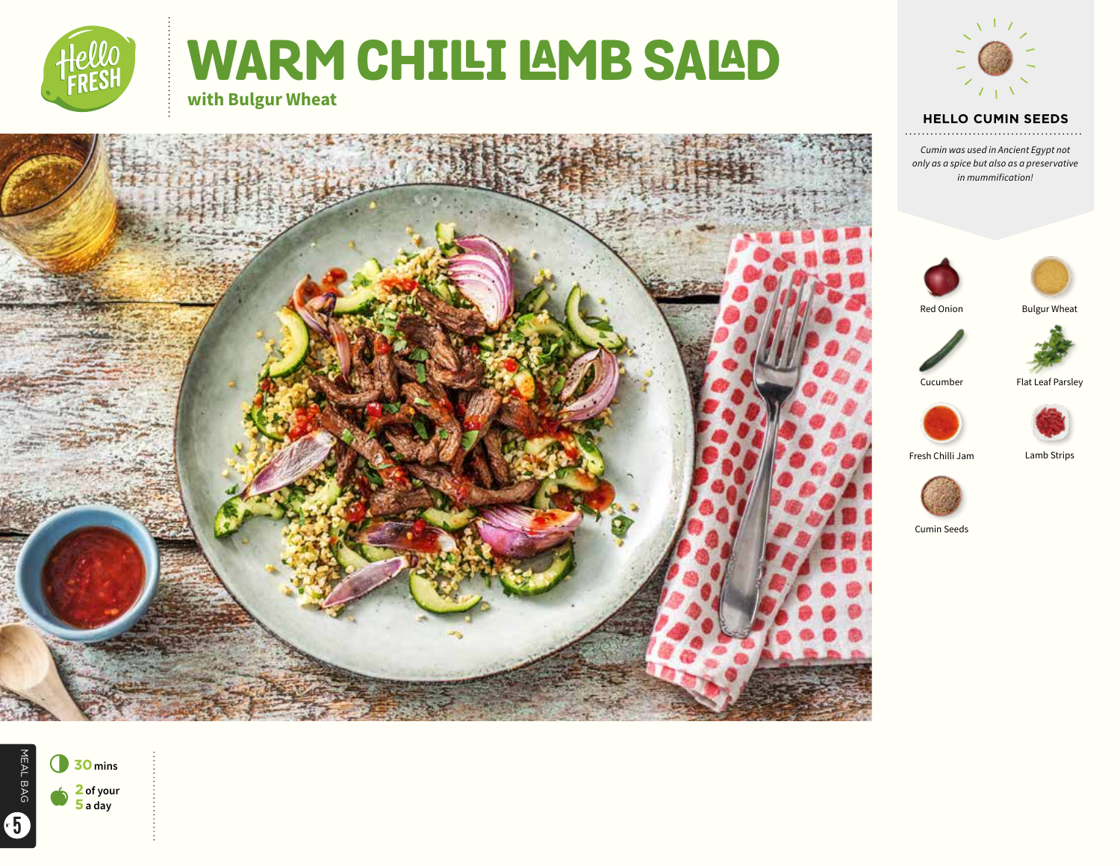

# WARM CHILLI LAMB SALAD **with Bulgur Wheat**



# **HELLO CUMIN SEEDS**

*Cumin was used in Ancient Egypt not only as a spice but also as a preservative in mummification!*





Red Onion





Cucumber Flat Leaf Parsley



Fresh Chilli Jam Lamb Strips



Cumin Seeds





6**<sup>30</sup>mins** a **<sup>2</sup> of your 5 a day**